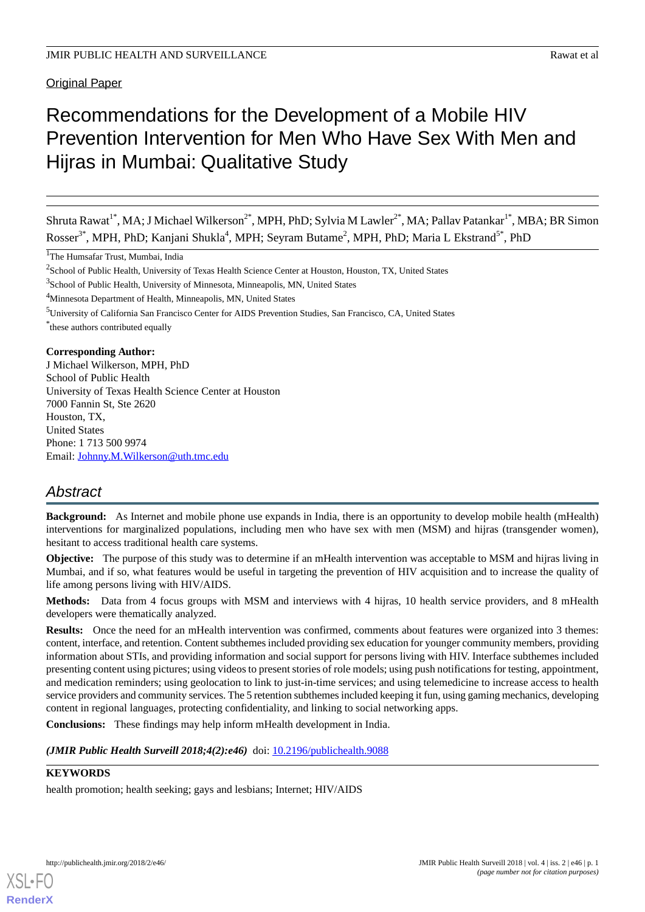Original Paper

# Recommendations for the Development of a Mobile HIV Prevention Intervention for Men Who Have Sex With Men and Hijras in Mumbai: Qualitative Study

Shruta Rawat<sup>1\*</sup>, MA; J Michael Wilkerson<sup>2\*</sup>, MPH, PhD; Sylvia M Lawler<sup>2\*</sup>, MA; Pallav Patankar<sup>1\*</sup>, MBA; BR Simon Rosser<sup>3\*</sup>, MPH, PhD; Kanjani Shukla<sup>4</sup>, MPH; Seyram Butame<sup>2</sup>, MPH, PhD; Maria L Ekstrand<sup>5\*</sup>, PhD

<sup>1</sup>The Humsafar Trust, Mumbai, India

<sup>3</sup>School of Public Health, University of Minnesota, Minneapolis, MN, United States

<sup>4</sup>Minnesota Department of Health, Minneapolis, MN, United States

\* these authors contributed equally

# **Corresponding Author:**

J Michael Wilkerson, MPH, PhD School of Public Health University of Texas Health Science Center at Houston 7000 Fannin St, Ste 2620 Houston, TX, United States Phone: 1 713 500 9974 Email: [Johnny.M.Wilkerson@uth.tmc.edu](mailto:Johnny.M.Wilkerson@uth.tmc.edu)

# *Abstract*

**Background:** As Internet and mobile phone use expands in India, there is an opportunity to develop mobile health (mHealth) interventions for marginalized populations, including men who have sex with men (MSM) and hijras (transgender women), hesitant to access traditional health care systems.

**Objective:** The purpose of this study was to determine if an mHealth intervention was acceptable to MSM and hijras living in Mumbai, and if so, what features would be useful in targeting the prevention of HIV acquisition and to increase the quality of life among persons living with HIV/AIDS.

**Methods:** Data from 4 focus groups with MSM and interviews with 4 hijras, 10 health service providers, and 8 mHealth developers were thematically analyzed.

**Results:** Once the need for an mHealth intervention was confirmed, comments about features were organized into 3 themes: content, interface, and retention. Content subthemes included providing sex education for younger community members, providing information about STIs, and providing information and social support for persons living with HIV. Interface subthemes included presenting content using pictures; using videos to present stories of role models; using push notifications for testing, appointment, and medication reminders; using geolocation to link to just-in-time services; and using telemedicine to increase access to health service providers and community services. The 5 retention subthemes included keeping it fun, using gaming mechanics, developing content in regional languages, protecting confidentiality, and linking to social networking apps.

**Conclusions:** These findings may help inform mHealth development in India.

*(JMIR Public Health Surveill 2018;4(2):e46*) doi: **[10.2196/publichealth.9088](http://dx.doi.org/10.2196/publichealth.9088)** 

# **KEYWORDS**

health promotion; health seeking; gays and lesbians; Internet; HIV/AIDS

[XSL](http://www.w3.org/Style/XSL)•FO **[RenderX](http://www.renderx.com/)**

 $2$ School of Public Health, University of Texas Health Science Center at Houston, Houston, TX, United States

<sup>5</sup>University of California San Francisco Center for AIDS Prevention Studies, San Francisco, CA, United States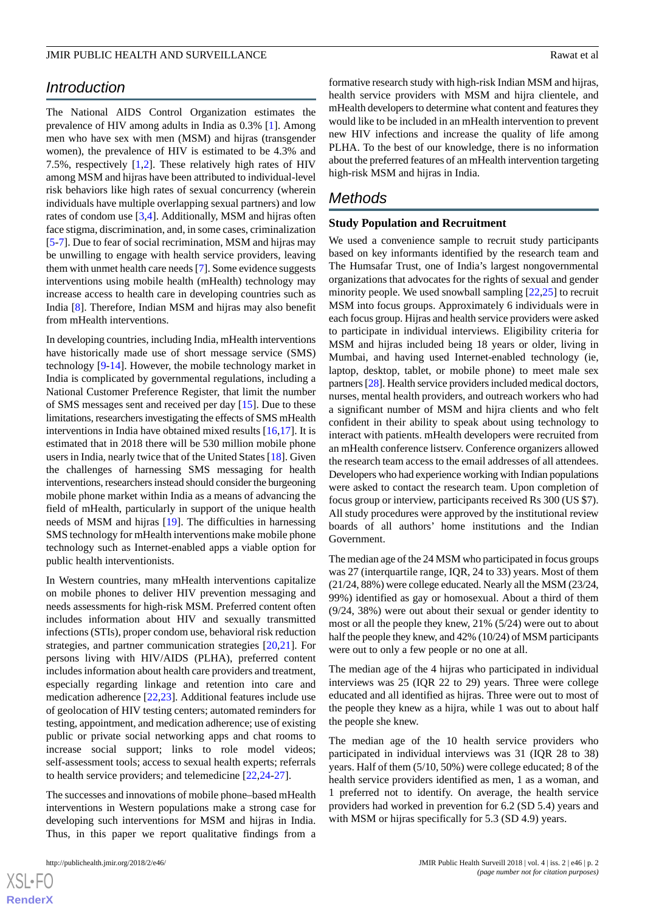# *Introduction*

The National AIDS Control Organization estimates the prevalence of HIV among adults in India as 0.3% [\[1](#page-4-0)]. Among men who have sex with men (MSM) and hijras (transgender women), the prevalence of HIV is estimated to be 4.3% and 7.5%, respectively [\[1](#page-4-0),[2\]](#page-5-0). These relatively high rates of HIV among MSM and hijras have been attributed to individual-level risk behaviors like high rates of sexual concurrency (wherein individuals have multiple overlapping sexual partners) and low rates of condom use [\[3](#page-5-1),[4\]](#page-5-2). Additionally, MSM and hijras often face stigma, discrimination, and, in some cases, criminalization [[5](#page-5-3)[-7](#page-5-4)]. Due to fear of social recrimination, MSM and hijras may be unwilling to engage with health service providers, leaving them with unmet health care needs [\[7](#page-5-4)]. Some evidence suggests interventions using mobile health (mHealth) technology may increase access to health care in developing countries such as India [\[8](#page-5-5)]. Therefore, Indian MSM and hijras may also benefit from mHealth interventions.

In developing countries, including India, mHealth interventions have historically made use of short message service (SMS) technology [\[9](#page-5-6)[-14](#page-5-7)]. However, the mobile technology market in India is complicated by governmental regulations, including a National Customer Preference Register, that limit the number of SMS messages sent and received per day [\[15](#page-5-8)]. Due to these limitations, researchers investigating the effects of SMS mHealth interventions in India have obtained mixed results [\[16](#page-5-9)[,17](#page-5-10)]. It is estimated that in 2018 there will be 530 million mobile phone users in India, nearly twice that of the United States [[18\]](#page-5-11). Given the challenges of harnessing SMS messaging for health interventions, researchers instead should consider the burgeoning mobile phone market within India as a means of advancing the field of mHealth, particularly in support of the unique health needs of MSM and hijras [[19\]](#page-5-12). The difficulties in harnessing SMS technology for mHealth interventions make mobile phone technology such as Internet-enabled apps a viable option for public health interventionists.

In Western countries, many mHealth interventions capitalize on mobile phones to deliver HIV prevention messaging and needs assessments for high-risk MSM. Preferred content often includes information about HIV and sexually transmitted infections (STIs), proper condom use, behavioral risk reduction strategies, and partner communication strategies [\[20](#page-5-13),[21\]](#page-5-14). For persons living with HIV/AIDS (PLHA), preferred content includes information about health care providers and treatment, especially regarding linkage and retention into care and medication adherence [[22](#page-5-15)[,23](#page-6-0)]. Additional features include use of geolocation of HIV testing centers; automated reminders for testing, appointment, and medication adherence; use of existing public or private social networking apps and chat rooms to increase social support; links to role model videos; self-assessment tools; access to sexual health experts; referrals to health service providers; and telemedicine [\[22](#page-5-15),[24-](#page-6-1)[27](#page-6-2)].

The successes and innovations of mobile phone–based mHealth interventions in Western populations make a strong case for developing such interventions for MSM and hijras in India. Thus, in this paper we report qualitative findings from a

formative research study with high-risk Indian MSM and hijras, health service providers with MSM and hijra clientele, and mHealth developers to determine what content and features they would like to be included in an mHealth intervention to prevent new HIV infections and increase the quality of life among PLHA. To the best of our knowledge, there is no information about the preferred features of an mHealth intervention targeting high-risk MSM and hijras in India.

# *Methods*

#### **Study Population and Recruitment**

We used a convenience sample to recruit study participants based on key informants identified by the research team and The Humsafar Trust, one of India's largest nongovernmental organizations that advocates for the rights of sexual and gender minority people. We used snowball sampling [\[22](#page-5-15),[25\]](#page-6-3) to recruit MSM into focus groups. Approximately 6 individuals were in each focus group. Hijras and health service providers were asked to participate in individual interviews. Eligibility criteria for MSM and hijras included being 18 years or older, living in Mumbai, and having used Internet-enabled technology (ie, laptop, desktop, tablet, or mobile phone) to meet male sex partners [\[28\]](#page-6-4). Health service providers included medical doctors, nurses, mental health providers, and outreach workers who had a significant number of MSM and hijra clients and who felt confident in their ability to speak about using technology to interact with patients. mHealth developers were recruited from an mHealth conference listserv. Conference organizers allowed the research team access to the email addresses of all attendees. Developers who had experience working with Indian populations were asked to contact the research team. Upon completion of focus group or interview, participants received Rs 300 (US \$7). All study procedures were approved by the institutional review boards of all authors' home institutions and the Indian Government.

The median age of the 24 MSM who participated in focus groups was 27 (interquartile range, IQR, 24 to 33) years. Most of them (21/24, 88%) were college educated. Nearly all the MSM (23/24, 99%) identified as gay or homosexual. About a third of them (9/24, 38%) were out about their sexual or gender identity to most or all the people they knew, 21% (5/24) were out to about half the people they knew, and 42% (10/24) of MSM participants were out to only a few people or no one at all.

The median age of the 4 hijras who participated in individual interviews was 25 (IQR 22 to 29) years. Three were college educated and all identified as hijras. Three were out to most of the people they knew as a hijra, while 1 was out to about half the people she knew.

The median age of the 10 health service providers who participated in individual interviews was 31 (IQR 28 to 38) years. Half of them (5/10, 50%) were college educated; 8 of the health service providers identified as men, 1 as a woman, and 1 preferred not to identify. On average, the health service providers had worked in prevention for 6.2 (SD 5.4) years and with MSM or hijras specifically for 5.3 (SD 4.9) years.

```
XS-FO
RenderX
```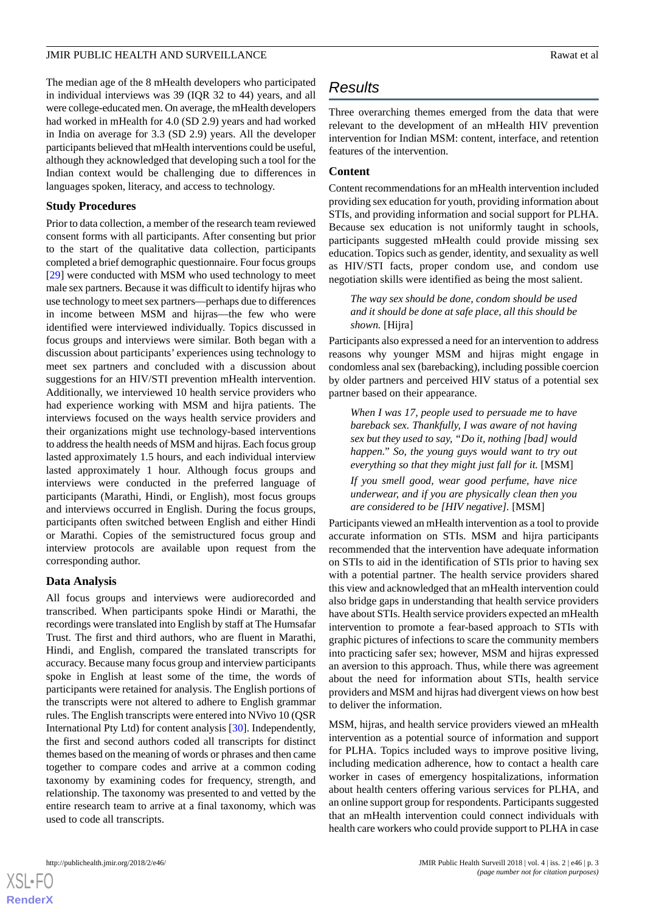The median age of the 8 mHealth developers who participated in individual interviews was 39 (IQR 32 to 44) years, and all were college-educated men. On average, the mHealth developers had worked in mHealth for 4.0 (SD 2.9) years and had worked in India on average for 3.3 (SD 2.9) years. All the developer participants believed that mHealth interventions could be useful, although they acknowledged that developing such a tool for the Indian context would be challenging due to differences in languages spoken, literacy, and access to technology.

#### **Study Procedures**

Prior to data collection, a member of the research team reviewed consent forms with all participants. After consenting but prior to the start of the qualitative data collection, participants completed a brief demographic questionnaire. Four focus groups [[29\]](#page-6-5) were conducted with MSM who used technology to meet male sex partners. Because it was difficult to identify hijras who use technology to meet sex partners—perhaps due to differences in income between MSM and hijras—the few who were identified were interviewed individually. Topics discussed in focus groups and interviews were similar. Both began with a discussion about participants' experiences using technology to meet sex partners and concluded with a discussion about suggestions for an HIV/STI prevention mHealth intervention. Additionally, we interviewed 10 health service providers who had experience working with MSM and hijra patients. The interviews focused on the ways health service providers and their organizations might use technology-based interventions to address the health needs of MSM and hijras. Each focus group lasted approximately 1.5 hours, and each individual interview lasted approximately 1 hour. Although focus groups and interviews were conducted in the preferred language of participants (Marathi, Hindi, or English), most focus groups and interviews occurred in English. During the focus groups, participants often switched between English and either Hindi or Marathi. Copies of the semistructured focus group and interview protocols are available upon request from the corresponding author.

# **Data Analysis**

All focus groups and interviews were audiorecorded and transcribed. When participants spoke Hindi or Marathi, the recordings were translated into English by staff at The Humsafar Trust. The first and third authors, who are fluent in Marathi, Hindi, and English, compared the translated transcripts for accuracy. Because many focus group and interview participants spoke in English at least some of the time, the words of participants were retained for analysis. The English portions of the transcripts were not altered to adhere to English grammar rules. The English transcripts were entered into NVivo 10 (QSR International Pty Ltd) for content analysis [\[30](#page-6-6)]. Independently, the first and second authors coded all transcripts for distinct themes based on the meaning of words or phrases and then came together to compare codes and arrive at a common coding taxonomy by examining codes for frequency, strength, and relationship. The taxonomy was presented to and vetted by the entire research team to arrive at a final taxonomy, which was used to code all transcripts.

# *Results*

Three overarching themes emerged from the data that were relevant to the development of an mHealth HIV prevention intervention for Indian MSM: content, interface, and retention features of the intervention.

# **Content**

Content recommendations for an mHealth intervention included providing sex education for youth, providing information about STIs, and providing information and social support for PLHA. Because sex education is not uniformly taught in schools, participants suggested mHealth could provide missing sex education. Topics such as gender, identity, and sexuality as well as HIV/STI facts, proper condom use, and condom use negotiation skills were identified as being the most salient.

*The way sex should be done, condom should be used and it should be done at safe place, all this should be shown.* [Hijra]

Participants also expressed a need for an intervention to address reasons why younger MSM and hijras might engage in condomless anal sex (barebacking), including possible coercion by older partners and perceived HIV status of a potential sex partner based on their appearance.

*When I was 17, people used to persuade me to have bareback sex. Thankfully, I was aware of not having sex but they used to say, "Do it, nothing [bad] would happen." So, the young guys would want to try out everything so that they might just fall for it.* [MSM]

*If you smell good, wear good perfume, have nice underwear, and if you are physically clean then you are considered to be [HIV negative].* [MSM]

Participants viewed an mHealth intervention as a tool to provide accurate information on STIs. MSM and hijra participants recommended that the intervention have adequate information on STIs to aid in the identification of STIs prior to having sex with a potential partner*.* The health service providers shared this view and acknowledged that an mHealth intervention could also bridge gaps in understanding that health service providers have about STIs. Health service providers expected an mHealth intervention to promote a fear-based approach to STIs with graphic pictures of infections to scare the community members into practicing safer sex; however, MSM and hijras expressed an aversion to this approach. Thus, while there was agreement about the need for information about STIs, health service providers and MSM and hijras had divergent views on how best to deliver the information.

MSM, hijras, and health service providers viewed an mHealth intervention as a potential source of information and support for PLHA. Topics included ways to improve positive living, including medication adherence, how to contact a health care worker in cases of emergency hospitalizations, information about health centers offering various services for PLHA, and an online support group for respondents. Participants suggested that an mHealth intervention could connect individuals with health care workers who could provide support to PLHA in case

 $XS$ -FO **[RenderX](http://www.renderx.com/)**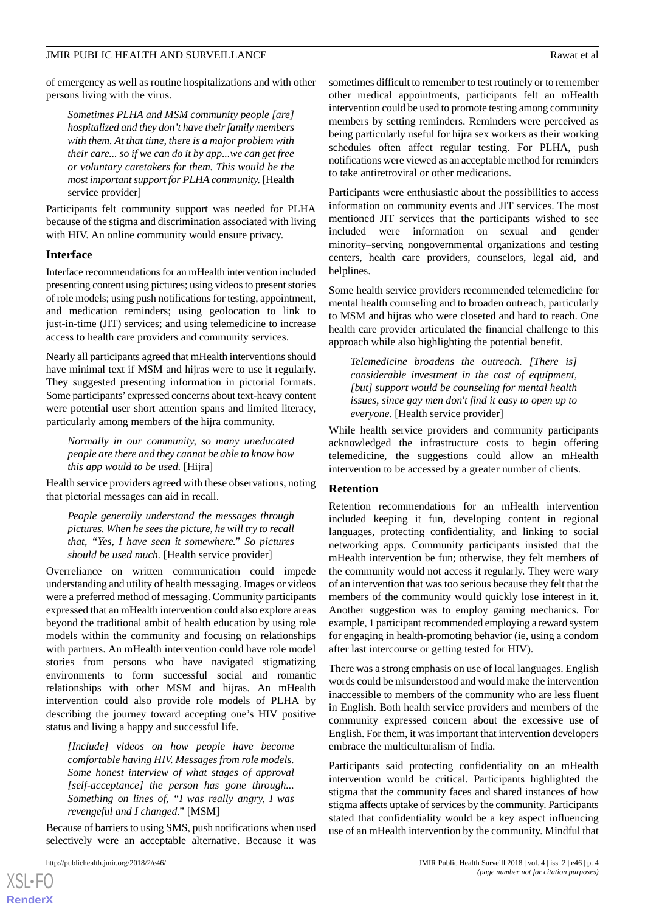of emergency as well as routine hospitalizations and with other persons living with the virus.

*Sometimes PLHA and MSM community people [are] hospitalized and they don't have their family members with them. At that time, there is a major problem with their care... so if we can do it by app...we can get free or voluntary caretakers for them. This would be the most important support for PLHA community.* [Health service provider]

Participants felt community support was needed for PLHA because of the stigma and discrimination associated with living with HIV. An online community would ensure privacy.

#### **Interface**

Interface recommendations for an mHealth intervention included presenting content using pictures; using videos to present stories of role models; using push notifications for testing, appointment, and medication reminders; using geolocation to link to just-in-time (JIT) services; and using telemedicine to increase access to health care providers and community services.

Nearly all participants agreed that mHealth interventions should have minimal text if MSM and hijras were to use it regularly. They suggested presenting information in pictorial formats. Some participants' expressed concerns about text-heavy content were potential user short attention spans and limited literacy, particularly among members of the hijra community.

*Normally in our community, so many uneducated people are there and they cannot be able to know how this app would to be used.* [Hijra]

Health service providers agreed with these observations, noting that pictorial messages can aid in recall.

*People generally understand the messages through pictures. When he sees the picture, he will try to recall that, "Yes, I have seen it somewhere." So pictures should be used much.* [Health service provider]

Overreliance on written communication could impede understanding and utility of health messaging. Images or videos were a preferred method of messaging. Community participants expressed that an mHealth intervention could also explore areas beyond the traditional ambit of health education by using role models within the community and focusing on relationships with partners. An mHealth intervention could have role model stories from persons who have navigated stigmatizing environments to form successful social and romantic relationships with other MSM and hijras. An mHealth intervention could also provide role models of PLHA by describing the journey toward accepting one's HIV positive status and living a happy and successful life.

*[Include] videos on how people have become comfortable having HIV. Messages from role models. Some honest interview of what stages of approval [self-acceptance] the person has gone through... Something on lines of, "I was really angry, I was revengeful and I changed."* [MSM]

Because of barriers to using SMS, push notifications when used selectively were an acceptable alternative. Because it was

 $XS$ -FO **[RenderX](http://www.renderx.com/)** sometimes difficult to remember to test routinely or to remember other medical appointments, participants felt an mHealth intervention could be used to promote testing among community members by setting reminders. Reminders were perceived as being particularly useful for hijra sex workers as their working schedules often affect regular testing. For PLHA, push notifications were viewed as an acceptable method for reminders to take antiretroviral or other medications.

Participants were enthusiastic about the possibilities to access information on community events and JIT services. The most mentioned JIT services that the participants wished to see included were information on sexual and gender minority–serving nongovernmental organizations and testing centers, health care providers, counselors, legal aid, and helplines.

Some health service providers recommended telemedicine for mental health counseling and to broaden outreach, particularly to MSM and hijras who were closeted and hard to reach. One health care provider articulated the financial challenge to this approach while also highlighting the potential benefit.

*Telemedicine broadens the outreach. [There is] considerable investment in the cost of equipment, [but] support would be counseling for mental health issues, since gay men don't find it easy to open up to everyone.* [Health service provider]

While health service providers and community participants acknowledged the infrastructure costs to begin offering telemedicine, the suggestions could allow an mHealth intervention to be accessed by a greater number of clients.

#### **Retention**

Retention recommendations for an mHealth intervention included keeping it fun, developing content in regional languages, protecting confidentiality, and linking to social networking apps. Community participants insisted that the mHealth intervention be fun; otherwise, they felt members of the community would not access it regularly. They were wary of an intervention that was too serious because they felt that the members of the community would quickly lose interest in it. Another suggestion was to employ gaming mechanics. For example, 1 participant recommended employing a reward system for engaging in health-promoting behavior (ie, using a condom after last intercourse or getting tested for HIV).

There was a strong emphasis on use of local languages. English words could be misunderstood and would make the intervention inaccessible to members of the community who are less fluent in English. Both health service providers and members of the community expressed concern about the excessive use of English. For them, it was important that intervention developers embrace the multiculturalism of India.

Participants said protecting confidentiality on an mHealth intervention would be critical. Participants highlighted the stigma that the community faces and shared instances of how stigma affects uptake of services by the community. Participants stated that confidentiality would be a key aspect influencing use of an mHealth intervention by the community. Mindful that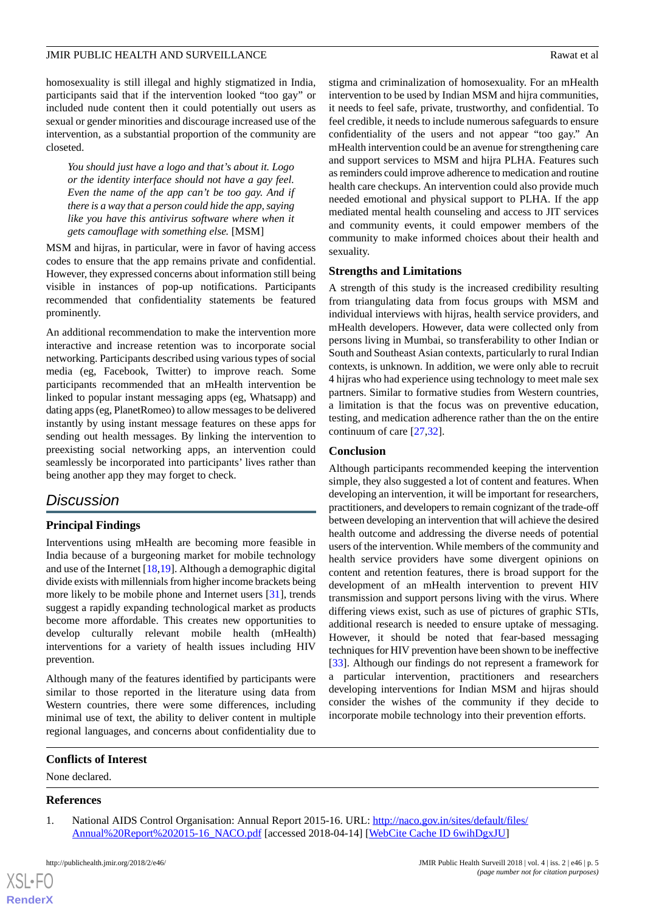homosexuality is still illegal and highly stigmatized in India, participants said that if the intervention looked "too gay" or included nude content then it could potentially out users as sexual or gender minorities and discourage increased use of the intervention, as a substantial proportion of the community are closeted.

*You should just have a logo and that's about it. Logo or the identity interface should not have a gay feel. Even the name of the app can't be too gay. And if there is a way that a person could hide the app, saying like you have this antivirus software where when it gets camouflage with something else.* [MSM]

MSM and hijras, in particular, were in favor of having access codes to ensure that the app remains private and confidential. However, they expressed concerns about information still being visible in instances of pop-up notifications. Participants recommended that confidentiality statements be featured prominently.

An additional recommendation to make the intervention more interactive and increase retention was to incorporate social networking. Participants described using various types of social media (eg, Facebook, Twitter) to improve reach. Some participants recommended that an mHealth intervention be linked to popular instant messaging apps (eg, Whatsapp) and dating apps (eg, PlanetRomeo) to allow messages to be delivered instantly by using instant message features on these apps for sending out health messages. By linking the intervention to preexisting social networking apps, an intervention could seamlessly be incorporated into participants' lives rather than being another app they may forget to check.

# *Discussion*

# **Principal Findings**

Interventions using mHealth are becoming more feasible in India because of a burgeoning market for mobile technology and use of the Internet [\[18](#page-5-11),[19\]](#page-5-12). Although a demographic digital divide exists with millennials from higher income brackets being more likely to be mobile phone and Internet users [[31\]](#page-6-7), trends suggest a rapidly expanding technological market as products become more affordable. This creates new opportunities to develop culturally relevant mobile health (mHealth) interventions for a variety of health issues including HIV prevention.

Although many of the features identified by participants were similar to those reported in the literature using data from Western countries, there were some differences, including minimal use of text, the ability to deliver content in multiple regional languages, and concerns about confidentiality due to

stigma and criminalization of homosexuality. For an mHealth intervention to be used by Indian MSM and hijra communities, it needs to feel safe, private, trustworthy, and confidential. To feel credible, it needs to include numerous safeguards to ensure confidentiality of the users and not appear "too gay." An mHealth intervention could be an avenue for strengthening care and support services to MSM and hijra PLHA. Features such as reminders could improve adherence to medication and routine health care checkups. An intervention could also provide much needed emotional and physical support to PLHA. If the app mediated mental health counseling and access to JIT services and community events, it could empower members of the community to make informed choices about their health and sexuality.

#### **Strengths and Limitations**

A strength of this study is the increased credibility resulting from triangulating data from focus groups with MSM and individual interviews with hijras, health service providers, and mHealth developers. However, data were collected only from persons living in Mumbai, so transferability to other Indian or South and Southeast Asian contexts, particularly to rural Indian contexts, is unknown. In addition, we were only able to recruit 4 hijras who had experience using technology to meet male sex partners. Similar to formative studies from Western countries, a limitation is that the focus was on preventive education, testing, and medication adherence rather than the on the entire continuum of care [\[27](#page-6-2),[32\]](#page-6-8).

#### **Conclusion**

Although participants recommended keeping the intervention simple, they also suggested a lot of content and features. When developing an intervention, it will be important for researchers, practitioners, and developers to remain cognizant of the trade-off between developing an intervention that will achieve the desired health outcome and addressing the diverse needs of potential users of the intervention. While members of the community and health service providers have some divergent opinions on content and retention features, there is broad support for the development of an mHealth intervention to prevent HIV transmission and support persons living with the virus. Where differing views exist, such as use of pictures of graphic STIs, additional research is needed to ensure uptake of messaging. However, it should be noted that fear-based messaging techniques for HIV prevention have been shown to be ineffective [[33\]](#page-6-9). Although our findings do not represent a framework for a particular intervention, practitioners and researchers developing interventions for Indian MSM and hijras should consider the wishes of the community if they decide to incorporate mobile technology into their prevention efforts.

#### <span id="page-4-0"></span>**Conflicts of Interest**

None declared.

#### **References**

[XSL](http://www.w3.org/Style/XSL)•FO **[RenderX](http://www.renderx.com/)**

1. National AIDS Control Organisation: Annual Report 2015-16. URL: [http://naco.gov.in/sites/default/files/](http://naco.gov.in/sites/default/files/Annual%20Report%202015-16_NACO.pdf) [Annual%20Report%202015-16\\_NACO.pdf](http://naco.gov.in/sites/default/files/Annual%20Report%202015-16_NACO.pdf) [accessed 2018-04-14] [[WebCite Cache ID 6wihDgxJU\]](http://www.webcitation.org/

                                            6wihDgxJU)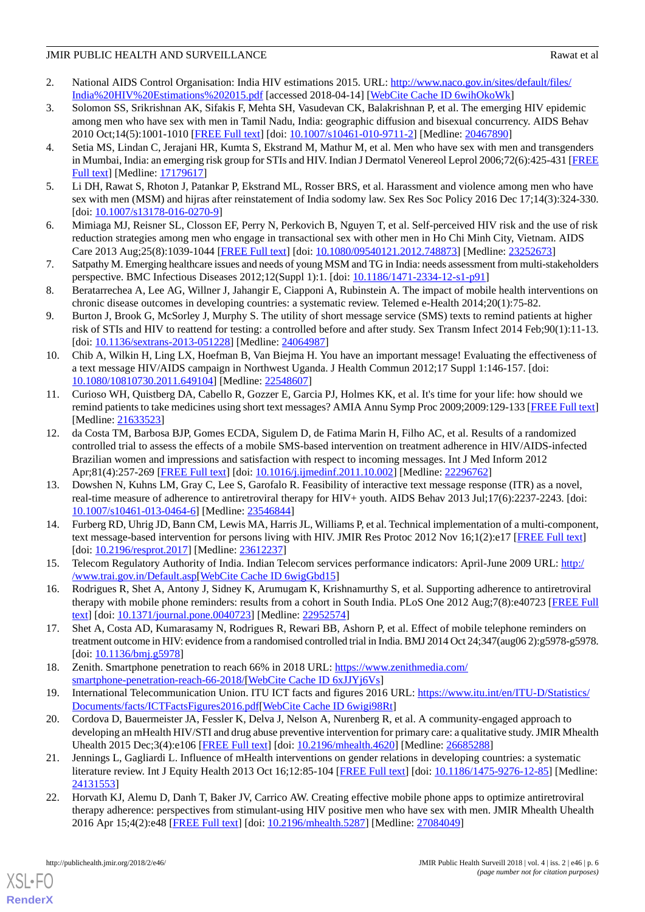- <span id="page-5-0"></span>2. National AIDS Control Organisation: India HIV estimations 2015. URL: [http://www.naco.gov.in/sites/default/files/](http://www.naco.gov.in/sites/default/files/India%20HIV%20Estimations%202015.pdf) [India%20HIV%20Estimations%202015.pdf](http://www.naco.gov.in/sites/default/files/India%20HIV%20Estimations%202015.pdf) [accessed 2018-04-14] [\[WebCite Cache ID 6wihOkoWk](http://www.webcitation.org/

                                            6wihOkoWk)]
- <span id="page-5-1"></span>3. Solomon SS, Srikrishnan AK, Sifakis F, Mehta SH, Vasudevan CK, Balakrishnan P, et al. The emerging HIV epidemic among men who have sex with men in Tamil Nadu, India: geographic diffusion and bisexual concurrency. AIDS Behav 2010 Oct;14(5):1001-1010 [[FREE Full text](http://europepmc.org/abstract/MED/20467890)] [doi: [10.1007/s10461-010-9711-2\]](http://dx.doi.org/10.1007/s10461-010-9711-2) [Medline: [20467890](http://www.ncbi.nlm.nih.gov/entrez/query.fcgi?cmd=Retrieve&db=PubMed&list_uids=20467890&dopt=Abstract)]
- <span id="page-5-2"></span>4. Setia MS, Lindan C, Jerajani HR, Kumta S, Ekstrand M, Mathur M, et al. Men who have sex with men and transgenders in Mumbai, India: an emerging risk group for STIs and HIV. Indian J Dermatol Venereol Leprol 2006;72(6):425-431 [\[FREE](http://www.ijdvl.com/article.asp?issn=0378-6323;year=2006;volume=72;issue=6;spage=425;epage=431;aulast=Setia) [Full text\]](http://www.ijdvl.com/article.asp?issn=0378-6323;year=2006;volume=72;issue=6;spage=425;epage=431;aulast=Setia) [Medline: [17179617\]](http://www.ncbi.nlm.nih.gov/entrez/query.fcgi?cmd=Retrieve&db=PubMed&list_uids=17179617&dopt=Abstract)
- <span id="page-5-3"></span>5. Li DH, Rawat S, Rhoton J, Patankar P, Ekstrand ML, Rosser BRS, et al. Harassment and violence among men who have sex with men (MSM) and hijras after reinstatement of India sodomy law. Sex Res Soc Policy 2016 Dec 17;14(3):324-330. [doi: [10.1007/s13178-016-0270-9](http://dx.doi.org/10.1007/s13178-016-0270-9)]
- <span id="page-5-4"></span>6. Mimiaga MJ, Reisner SL, Closson EF, Perry N, Perkovich B, Nguyen T, et al. Self-perceived HIV risk and the use of risk reduction strategies among men who engage in transactional sex with other men in Ho Chi Minh City, Vietnam. AIDS Care 2013 Aug;25(8):1039-1044 [\[FREE Full text](http://europepmc.org/abstract/MED/23252673)] [doi: [10.1080/09540121.2012.748873\]](http://dx.doi.org/10.1080/09540121.2012.748873) [Medline: [23252673\]](http://www.ncbi.nlm.nih.gov/entrez/query.fcgi?cmd=Retrieve&db=PubMed&list_uids=23252673&dopt=Abstract)
- <span id="page-5-5"></span>7. Satpathy M. Emerging healthcare issues and needs of young MSM and TG in India: needs assessment from multi-stakeholders perspective. BMC Infectious Diseases 2012;12(Suppl 1):1. [doi: [10.1186/1471-2334-12-s1-p91](http://dx.doi.org/10.1186/1471-2334-12-s1-p91)]
- <span id="page-5-6"></span>8. Beratarrechea A, Lee AG, Willner J, Jahangir E, Ciapponi A, Rubinstein A. The impact of mobile health interventions on chronic disease outcomes in developing countries: a systematic review. Telemed e-Health 2014;20(1):75-82.
- 9. Burton J, Brook G, McSorley J, Murphy S. The utility of short message service (SMS) texts to remind patients at higher risk of STIs and HIV to reattend for testing: a controlled before and after study. Sex Transm Infect 2014 Feb;90(1):11-13. [doi: [10.1136/sextrans-2013-051228](http://dx.doi.org/10.1136/sextrans-2013-051228)] [Medline: [24064987](http://www.ncbi.nlm.nih.gov/entrez/query.fcgi?cmd=Retrieve&db=PubMed&list_uids=24064987&dopt=Abstract)]
- 10. Chib A, Wilkin H, Ling LX, Hoefman B, Van Biejma H. You have an important message! Evaluating the effectiveness of a text message HIV/AIDS campaign in Northwest Uganda. J Health Commun 2012;17 Suppl 1:146-157. [doi: [10.1080/10810730.2011.649104\]](http://dx.doi.org/10.1080/10810730.2011.649104) [Medline: [22548607\]](http://www.ncbi.nlm.nih.gov/entrez/query.fcgi?cmd=Retrieve&db=PubMed&list_uids=22548607&dopt=Abstract)
- 11. Curioso WH, Quistberg DA, Cabello R, Gozzer E, Garcia PJ, Holmes KK, et al. It's time for your life: how should we remind patients to take medicines using short text messages? AMIA Annu Symp Proc 2009;2009:129-133 [\[FREE Full text](http://europepmc.org/abstract/MED/21633523)] [Medline: [21633523](http://www.ncbi.nlm.nih.gov/entrez/query.fcgi?cmd=Retrieve&db=PubMed&list_uids=21633523&dopt=Abstract)]
- 12. da Costa TM, Barbosa BJP, Gomes ECDA, Sigulem D, de Fatima Marin H, Filho AC, et al. Results of a randomized controlled trial to assess the effects of a mobile SMS-based intervention on treatment adherence in HIV/AIDS-infected Brazilian women and impressions and satisfaction with respect to incoming messages. Int J Med Inform 2012 Apr;81(4):257-269 [\[FREE Full text\]](http://europepmc.org/abstract/MED/22296762) [doi: [10.1016/j.ijmedinf.2011.10.002](http://dx.doi.org/10.1016/j.ijmedinf.2011.10.002)] [Medline: [22296762\]](http://www.ncbi.nlm.nih.gov/entrez/query.fcgi?cmd=Retrieve&db=PubMed&list_uids=22296762&dopt=Abstract)
- <span id="page-5-7"></span>13. Dowshen N, Kuhns LM, Gray C, Lee S, Garofalo R. Feasibility of interactive text message response (ITR) as a novel, real-time measure of adherence to antiretroviral therapy for HIV+ youth. AIDS Behav 2013 Jul;17(6):2237-2243. [doi: [10.1007/s10461-013-0464-6\]](http://dx.doi.org/10.1007/s10461-013-0464-6) [Medline: [23546844](http://www.ncbi.nlm.nih.gov/entrez/query.fcgi?cmd=Retrieve&db=PubMed&list_uids=23546844&dopt=Abstract)]
- <span id="page-5-9"></span><span id="page-5-8"></span>14. Furberg RD, Uhrig JD, Bann CM, Lewis MA, Harris JL, Williams P, et al. Technical implementation of a multi-component, text message-based intervention for persons living with HIV. JMIR Res Protoc 2012 Nov 16;1(2):e17 [[FREE Full text\]](http://www.researchprotocols.org/2012/2/e17/) [doi: [10.2196/resprot.2017\]](http://dx.doi.org/10.2196/resprot.2017) [Medline: [23612237](http://www.ncbi.nlm.nih.gov/entrez/query.fcgi?cmd=Retrieve&db=PubMed&list_uids=23612237&dopt=Abstract)]
- <span id="page-5-10"></span>15. Telecom Regulatory Authority of India. Indian Telecom services performance indicators: April-June 2009 URL: [http:/](http://www.trai.gov.in/Default.asp) [/www.trai.gov.in/Default.asp\[](http://www.trai.gov.in/Default.asp)[WebCite Cache ID 6wigGbd15\]](http://www.webcitation.org/

                                            6wigGbd15)
- <span id="page-5-11"></span>16. Rodrigues R, Shet A, Antony J, Sidney K, Arumugam K, Krishnamurthy S, et al. Supporting adherence to antiretroviral therapy with mobile phone reminders: results from a cohort in South India. PLoS One 2012 Aug;7(8):e40723 [[FREE Full](http://dx.plos.org/10.1371/journal.pone.0040723) [text](http://dx.plos.org/10.1371/journal.pone.0040723)] [doi: [10.1371/journal.pone.0040723\]](http://dx.doi.org/10.1371/journal.pone.0040723) [Medline: [22952574](http://www.ncbi.nlm.nih.gov/entrez/query.fcgi?cmd=Retrieve&db=PubMed&list_uids=22952574&dopt=Abstract)]
- <span id="page-5-12"></span>17. Shet A, Costa AD, Kumarasamy N, Rodrigues R, Rewari BB, Ashorn P, et al. Effect of mobile telephone reminders on treatment outcome in HIV: evidence from a randomised controlled trial in India. BMJ 2014 Oct 24;347(aug06 2):g5978-g5978. [doi: [10.1136/bmj.g5978](http://dx.doi.org/10.1136/bmj.g5978)]
- <span id="page-5-13"></span>18. Zenith. Smartphone penetration to reach 66% in 2018 URL: [https://www.zenithmedia.com/](https://www.zenithmedia.com/smartphone-penetration-reach-66-2018/) [smartphone-penetration-reach-66-2018/](https://www.zenithmedia.com/smartphone-penetration-reach-66-2018/)[\[WebCite Cache ID 6xJJYj6Vs\]](http://www.webcitation.org/

                                            6xJJYj6Vs)
- <span id="page-5-14"></span>19. International Telecommunication Union. ITU ICT facts and figures 2016 URL: [https://www.itu.int/en/ITU-D/Statistics/](https://www.itu.int/en/ITU-D/Statistics/Documents/facts/ICTFactsFigures2016.pdf) [Documents/facts/ICTFactsFigures2016.pdf](https://www.itu.int/en/ITU-D/Statistics/Documents/facts/ICTFactsFigures2016.pdf)[[WebCite Cache ID 6wigi98Rt\]](http://www.webcitation.org/

                                            6wigi98Rt)
- <span id="page-5-15"></span>20. Cordova D, Bauermeister JA, Fessler K, Delva J, Nelson A, Nurenberg R, et al. A community-engaged approach to developing an mHealth HIV/STI and drug abuse preventive intervention for primary care: a qualitative study. JMIR Mhealth Uhealth 2015 Dec;3(4):e106 [[FREE Full text](http://mhealth.jmir.org/2015/4/e106/)] [doi: [10.2196/mhealth.4620](http://dx.doi.org/10.2196/mhealth.4620)] [Medline: [26685288](http://www.ncbi.nlm.nih.gov/entrez/query.fcgi?cmd=Retrieve&db=PubMed&list_uids=26685288&dopt=Abstract)]
- 21. Jennings L, Gagliardi L. Influence of mHealth interventions on gender relations in developing countries: a systematic literature review. Int J Equity Health 2013 Oct 16;12:85-104 [[FREE Full text](https://equityhealthj.biomedcentral.com/articles/10.1186/1475-9276-12-85)] [doi: [10.1186/1475-9276-12-85\]](http://dx.doi.org/10.1186/1475-9276-12-85) [Medline: [24131553](http://www.ncbi.nlm.nih.gov/entrez/query.fcgi?cmd=Retrieve&db=PubMed&list_uids=24131553&dopt=Abstract)]
- 22. Horvath KJ, Alemu D, Danh T, Baker JV, Carrico AW. Creating effective mobile phone apps to optimize antiretroviral therapy adherence: perspectives from stimulant-using HIV positive men who have sex with men. JMIR Mhealth Uhealth 2016 Apr 15;4(2):e48 [[FREE Full text\]](http://mhealth.jmir.org/2016/2/e48/) [doi: [10.2196/mhealth.5287](http://dx.doi.org/10.2196/mhealth.5287)] [Medline: [27084049\]](http://www.ncbi.nlm.nih.gov/entrez/query.fcgi?cmd=Retrieve&db=PubMed&list_uids=27084049&dopt=Abstract)

[XSL](http://www.w3.org/Style/XSL)•FO **[RenderX](http://www.renderx.com/)**